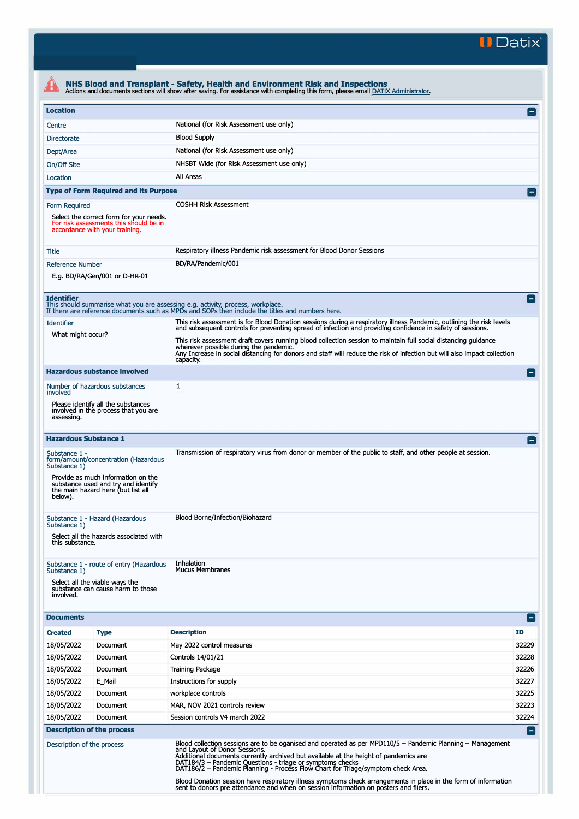**II Datix'** 

| <b>Location</b><br>Centre                                                                                                            |                                                                                                                     |                                                                                                                                                                                                                                                                                                   | $\Box$                                  |  |  |  |  |
|--------------------------------------------------------------------------------------------------------------------------------------|---------------------------------------------------------------------------------------------------------------------|---------------------------------------------------------------------------------------------------------------------------------------------------------------------------------------------------------------------------------------------------------------------------------------------------|-----------------------------------------|--|--|--|--|
|                                                                                                                                      |                                                                                                                     |                                                                                                                                                                                                                                                                                                   |                                         |  |  |  |  |
|                                                                                                                                      |                                                                                                                     |                                                                                                                                                                                                                                                                                                   | National (for Risk Assessment use only) |  |  |  |  |
| <b>Directorate</b>                                                                                                                   |                                                                                                                     |                                                                                                                                                                                                                                                                                                   | <b>Blood Supply</b>                     |  |  |  |  |
| Dept/Area                                                                                                                            |                                                                                                                     | National (for Risk Assessment use only)                                                                                                                                                                                                                                                           |                                         |  |  |  |  |
| On/Off Site                                                                                                                          |                                                                                                                     | NHSBT Wide (for Risk Assessment use only)                                                                                                                                                                                                                                                         |                                         |  |  |  |  |
| Location                                                                                                                             |                                                                                                                     | All Areas                                                                                                                                                                                                                                                                                         |                                         |  |  |  |  |
|                                                                                                                                      | <b>Type of Form Required and its Purpose</b>                                                                        |                                                                                                                                                                                                                                                                                                   |                                         |  |  |  |  |
| Form Required                                                                                                                        | Select the correct form for your needs.<br>For risk assessments this should be in<br>accordance with your training. | <b>COSHH Risk Assessment</b>                                                                                                                                                                                                                                                                      |                                         |  |  |  |  |
| Title                                                                                                                                |                                                                                                                     | Respiratory illness Pandemic risk assessment for Blood Donor Sessions                                                                                                                                                                                                                             |                                         |  |  |  |  |
| <b>Reference Number</b>                                                                                                              |                                                                                                                     | BD/RA/Pandemic/001                                                                                                                                                                                                                                                                                |                                         |  |  |  |  |
|                                                                                                                                      | E.g. BD/RA/Gen/001 or D-HR-01                                                                                       |                                                                                                                                                                                                                                                                                                   |                                         |  |  |  |  |
| <b>Identifier</b>                                                                                                                    |                                                                                                                     | This should summarise what you are assessing e.g. activity, process, workplace.<br>If there are reference documents such as MPDs and SOPs then include the titles and numbers here.                                                                                                               |                                         |  |  |  |  |
| <b>Identifier</b>                                                                                                                    |                                                                                                                     | This risk assessment is for Blood Donation sessions during a respiratory illness Pandemic, outlining the risk levels<br>and subsequent controls for preventing spread of infection and providing confidence in safety of sessions.                                                                |                                         |  |  |  |  |
| What might occur?                                                                                                                    |                                                                                                                     | This risk assessment draft covers running blood collection session to maintain full social distancing guidance<br>wherever possible during the pandemic.<br>Any Increase in social distancing for donors and staff will reduce the risk of infection but will also impact collection<br>capacity. |                                         |  |  |  |  |
|                                                                                                                                      | <b>Hazardous substance involved</b>                                                                                 |                                                                                                                                                                                                                                                                                                   | E                                       |  |  |  |  |
| involved                                                                                                                             | Number of hazardous substances                                                                                      | 1                                                                                                                                                                                                                                                                                                 |                                         |  |  |  |  |
|                                                                                                                                      | Please identify all the substances<br>involved in the process that you are                                          |                                                                                                                                                                                                                                                                                                   |                                         |  |  |  |  |
| assessing.                                                                                                                           |                                                                                                                     |                                                                                                                                                                                                                                                                                                   |                                         |  |  |  |  |
|                                                                                                                                      | <b>Hazardous Substance 1</b>                                                                                        |                                                                                                                                                                                                                                                                                                   | $\left  - \right $                      |  |  |  |  |
| Substance 1 -<br>Substance 1)                                                                                                        | form/amount/concentration (Hazardous                                                                                | Transmission of respiratory virus from donor or member of the public to staff, and other people at session.                                                                                                                                                                                       |                                         |  |  |  |  |
| below).                                                                                                                              | Provide as much information on the<br>substance used and try and identify<br>the main hazard here (but list all     |                                                                                                                                                                                                                                                                                                   |                                         |  |  |  |  |
|                                                                                                                                      | Substance 1 - Hazard (Hazardous                                                                                     | Blood Borne/Infection/Biohazard                                                                                                                                                                                                                                                                   |                                         |  |  |  |  |
| Substance 1)<br>this substance.                                                                                                      | Select all the hazards associated with                                                                              |                                                                                                                                                                                                                                                                                                   |                                         |  |  |  |  |
| Substance 1)<br>involved.                                                                                                            | Substance 1 - route of entry (Hazardous<br>Select all the viable ways the<br>substance can cause harm to those      | Inhalation<br><b>Mucus Membranes</b>                                                                                                                                                                                                                                                              |                                         |  |  |  |  |
|                                                                                                                                      |                                                                                                                     |                                                                                                                                                                                                                                                                                                   | E                                       |  |  |  |  |
|                                                                                                                                      | <b>Type</b>                                                                                                         | <b>Description</b>                                                                                                                                                                                                                                                                                | <b>ID</b>                               |  |  |  |  |
|                                                                                                                                      | Document                                                                                                            | May 2022 control measures                                                                                                                                                                                                                                                                         | 32229                                   |  |  |  |  |
|                                                                                                                                      | Document                                                                                                            | Controls 14/01/21                                                                                                                                                                                                                                                                                 | 32228                                   |  |  |  |  |
|                                                                                                                                      | Document                                                                                                            |                                                                                                                                                                                                                                                                                                   | 32226                                   |  |  |  |  |
|                                                                                                                                      | E_Mail                                                                                                              | <b>Training Package</b><br>Instructions for supply                                                                                                                                                                                                                                                | 32227                                   |  |  |  |  |
|                                                                                                                                      | Document                                                                                                            | workplace controls                                                                                                                                                                                                                                                                                | 32225                                   |  |  |  |  |
|                                                                                                                                      | Document                                                                                                            | MAR, NOV 2021 controls review                                                                                                                                                                                                                                                                     | 32223                                   |  |  |  |  |
|                                                                                                                                      | Document                                                                                                            | Session controls V4 march 2022                                                                                                                                                                                                                                                                    | 32224                                   |  |  |  |  |
| <b>Documents</b><br><b>Created</b><br>18/05/2022<br>18/05/2022<br>18/05/2022<br>18/05/2022<br>18/05/2022<br>18/05/2022<br>18/05/2022 | <b>Description of the process</b>                                                                                   |                                                                                                                                                                                                                                                                                                   |                                         |  |  |  |  |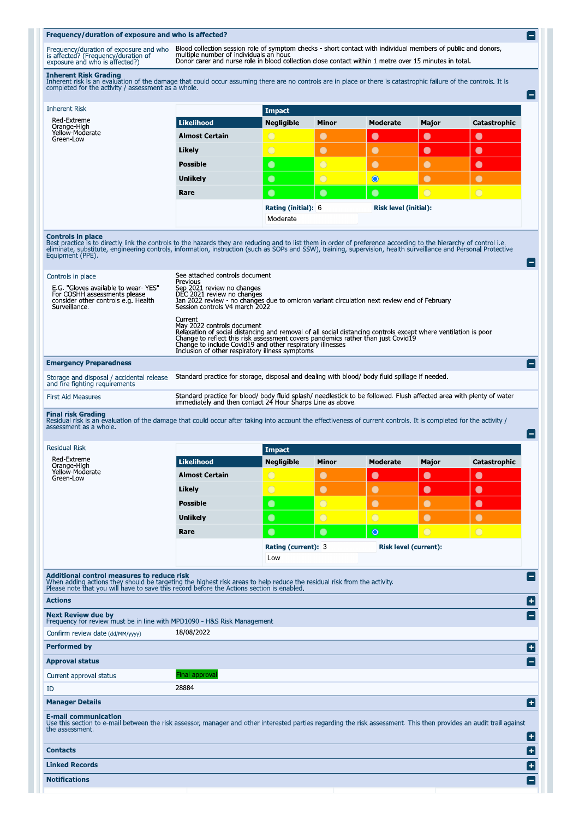## Frequency/duration of exposure and who is affected?

Frequency/duration of exposure and who Blood collection session role of symptom checks - short contact with individual members of public and donors,<br>is affected? (Frequency/duration of multiple number of individuals an hou

E

 $\blacksquare$ 

**Inherent Risk Grading**<br>Inherent risk is an evaluation of the damage that could occur assuming there are no controls are in place or there is catastrophic failure of the controls. It is<br>completed for the activity / assessm

| <b>Inherent Risk</b>                                                                                                                                                                                                                                                                                                                                                                        |                                                                                                                                                                                                                                                                                                                                                             | <b>Impact</b>                          |                       |                              |                       |                |
|---------------------------------------------------------------------------------------------------------------------------------------------------------------------------------------------------------------------------------------------------------------------------------------------------------------------------------------------------------------------------------------------|-------------------------------------------------------------------------------------------------------------------------------------------------------------------------------------------------------------------------------------------------------------------------------------------------------------------------------------------------------------|----------------------------------------|-----------------------|------------------------------|-----------------------|----------------|
| <b>Red-Extreme</b><br>Orange-High                                                                                                                                                                                                                                                                                                                                                           | <b>Likelihood</b>                                                                                                                                                                                                                                                                                                                                           | <b>Negligible</b>                      | Minor                 | <b>Moderate</b>              | Major                 | Catastrophic   |
| Yellow-Moderate<br>Green-Low                                                                                                                                                                                                                                                                                                                                                                | <b>Almost Certain</b>                                                                                                                                                                                                                                                                                                                                       | $\bigcirc$                             | $\bullet$             | $\bullet$                    | $\bullet$             | $\bullet$      |
|                                                                                                                                                                                                                                                                                                                                                                                             | Likely                                                                                                                                                                                                                                                                                                                                                      | $\bigcirc$                             | $\bullet$             | $\bullet$                    | $\bullet$             | $\bullet$      |
|                                                                                                                                                                                                                                                                                                                                                                                             | <b>Possible</b>                                                                                                                                                                                                                                                                                                                                             | $\bullet$                              | $\overline{O}$        | $\bullet$                    | $\bullet$             | $\bullet$      |
|                                                                                                                                                                                                                                                                                                                                                                                             | <b>Unlikely</b>                                                                                                                                                                                                                                                                                                                                             | $\bullet$                              | $\overline{O}$        | $\bullet$                    | $\bullet$             | $\bullet$      |
|                                                                                                                                                                                                                                                                                                                                                                                             | Rare                                                                                                                                                                                                                                                                                                                                                        | $\bullet$                              | $\bullet$             | $\bullet$                    | $\overline{\bigcirc}$ | $\overline{O}$ |
|                                                                                                                                                                                                                                                                                                                                                                                             |                                                                                                                                                                                                                                                                                                                                                             | <b>Rating (initial): 6</b><br>Moderate |                       | <b>Risk level (initial):</b> |                       |                |
| <b>Controls in place</b><br>Best practice is to directly link the controls to the hazards they are reducing and to list them in order of preference according to the hierarchy of control i.e.<br>eliminate, substitute, engineering controls, information, instruction (such as SOPs and SSW), training, supervision, health surveillance and Personal Protective<br>Equipment (PPE).      |                                                                                                                                                                                                                                                                                                                                                             |                                        |                       |                              |                       |                |
| See attached controls document<br>Controls in place<br>Previous<br>E.G. "Gloves available to wear-YES"<br>Sep 2021 review no changes<br>For COSHH assessments please<br>DEC 2021 review no changes<br>consider other controls e.g. Health<br>Jan 2022 review - no changes due to omicron variant circulation next review end of February<br>Session controls V4 march 2022<br>Surveillance. |                                                                                                                                                                                                                                                                                                                                                             |                                        |                       |                              |                       |                |
|                                                                                                                                                                                                                                                                                                                                                                                             | Current<br>May 2022 controls document<br>Relaxation of social distancing and removal of all social distancing controls except where ventilation is poor<br>Change to reflect this risk assessment covers pandemics rather than just Covid19<br>Change to include Covid19 and other respiratory illnesses<br>Inclusion of other respiratory illness symptoms |                                        |                       |                              |                       |                |
| <b>Emergency Preparedness</b>                                                                                                                                                                                                                                                                                                                                                               |                                                                                                                                                                                                                                                                                                                                                             |                                        |                       |                              |                       |                |
| Storage and disposal / accidental release<br>and fire fighting requirements                                                                                                                                                                                                                                                                                                                 | Standard practice for storage, disposal and dealing with blood/ body fluid spillage if needed.                                                                                                                                                                                                                                                              |                                        |                       |                              |                       |                |
| <b>First Aid Measures</b>                                                                                                                                                                                                                                                                                                                                                                   | Standard practice for blood/ body fluid splash/ needlestick to be followed. Flush affected area with plenty of water<br>immediately and then contact 24 Hour Sharps Line as above.                                                                                                                                                                          |                                        |                       |                              |                       |                |
| <b>Final risk Grading</b><br>Residual risk is an evaluation of the damage that could occur after taking into account the effectiveness of current controls. It is completed for the activity /<br>assessment as a whole.                                                                                                                                                                    |                                                                                                                                                                                                                                                                                                                                                             |                                        |                       |                              |                       |                |
| <b>Residual Risk</b><br>Red-Extreme                                                                                                                                                                                                                                                                                                                                                         |                                                                                                                                                                                                                                                                                                                                                             | <b>Impact</b>                          |                       |                              |                       |                |
| Orange-High<br>Yellow-Moderate                                                                                                                                                                                                                                                                                                                                                              | <b>Likelihood</b>                                                                                                                                                                                                                                                                                                                                           | <b>Negligible</b>                      | Minor                 | <b>Moderate</b>              | Major                 | Catastrophic   |
| Green-Low                                                                                                                                                                                                                                                                                                                                                                                   | <b>Almost Certain</b>                                                                                                                                                                                                                                                                                                                                       | $\bigcirc$                             | $\bullet$             | $\bullet$                    | $\bullet$             | $\bullet$      |
|                                                                                                                                                                                                                                                                                                                                                                                             | Likely                                                                                                                                                                                                                                                                                                                                                      | $\overline{O}$                         | $\bullet$             | $\bullet$                    | $\bullet$             | $\bullet$      |
|                                                                                                                                                                                                                                                                                                                                                                                             | <b>Possible</b>                                                                                                                                                                                                                                                                                                                                             | $\bullet$                              | $\overline{\bigcirc}$ | $\bullet$                    | $\bullet$             | $\bullet$      |
|                                                                                                                                                                                                                                                                                                                                                                                             | Unlikely                                                                                                                                                                                                                                                                                                                                                    | $\bullet$                              | $\circ$               | $\bigcirc$                   | $\bullet$             | $\bullet$      |
|                                                                                                                                                                                                                                                                                                                                                                                             | Rare                                                                                                                                                                                                                                                                                                                                                        | $\bullet$                              | $\bullet$             | $\circ$                      | $\overline{O}$        | $\bigcirc$     |
|                                                                                                                                                                                                                                                                                                                                                                                             |                                                                                                                                                                                                                                                                                                                                                             | <b>Rating (current): 3</b><br>Low      |                       | <b>Risk level (current):</b> |                       |                |
| Additional control measures to reduce risk<br>When adding actions they should be targeting the highest risk areas to help reduce the residual risk from the activity.<br>Please note that you will have to save this record before the Actions section is enabled.                                                                                                                          |                                                                                                                                                                                                                                                                                                                                                             |                                        |                       |                              |                       |                |
| <b>Actions</b>                                                                                                                                                                                                                                                                                                                                                                              |                                                                                                                                                                                                                                                                                                                                                             |                                        |                       |                              |                       |                |
| <b>Next Review due by</b><br>Frequency for review must be in line with MPD1090 - H&S Risk Management                                                                                                                                                                                                                                                                                        |                                                                                                                                                                                                                                                                                                                                                             |                                        |                       |                              |                       |                |
| Confirm review date (dd/MM/yyyy)                                                                                                                                                                                                                                                                                                                                                            | 18/08/2022                                                                                                                                                                                                                                                                                                                                                  |                                        |                       |                              |                       |                |
| <b>Performed by</b>                                                                                                                                                                                                                                                                                                                                                                         |                                                                                                                                                                                                                                                                                                                                                             |                                        |                       |                              |                       |                |
| <b>Approval status</b>                                                                                                                                                                                                                                                                                                                                                                      |                                                                                                                                                                                                                                                                                                                                                             |                                        |                       |                              |                       |                |
| Current approval status                                                                                                                                                                                                                                                                                                                                                                     | Final approval                                                                                                                                                                                                                                                                                                                                              |                                        |                       |                              |                       |                |
| ID                                                                                                                                                                                                                                                                                                                                                                                          | 28884                                                                                                                                                                                                                                                                                                                                                       |                                        |                       |                              |                       |                |
| <b>Manager Details</b>                                                                                                                                                                                                                                                                                                                                                                      |                                                                                                                                                                                                                                                                                                                                                             |                                        |                       |                              |                       |                |
| <b>E-mail communication</b><br>Use this section to e-mail between the risk assessor, manager and other interested parties regarding the risk assessment. This then provides an audit trail against<br>the assessment.                                                                                                                                                                       |                                                                                                                                                                                                                                                                                                                                                             |                                        |                       |                              |                       |                |
| <b>Contacts</b>                                                                                                                                                                                                                                                                                                                                                                             |                                                                                                                                                                                                                                                                                                                                                             |                                        |                       |                              |                       |                |
| <b>Linked Records</b>                                                                                                                                                                                                                                                                                                                                                                       |                                                                                                                                                                                                                                                                                                                                                             |                                        |                       |                              |                       |                |
|                                                                                                                                                                                                                                                                                                                                                                                             |                                                                                                                                                                                                                                                                                                                                                             |                                        |                       |                              |                       |                |
| <b>Notifications</b>                                                                                                                                                                                                                                                                                                                                                                        |                                                                                                                                                                                                                                                                                                                                                             |                                        |                       |                              |                       |                |